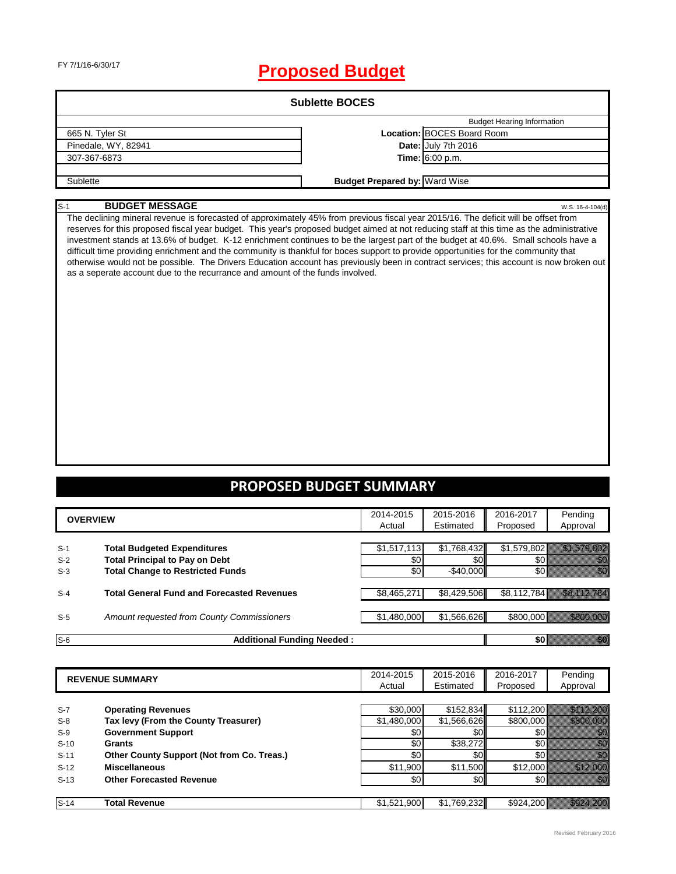# FY 7/1/16-6/30/17 **Proposed Budget**

| <b>Sublette BOCES</b> |                                      |                                   |  |  |
|-----------------------|--------------------------------------|-----------------------------------|--|--|
|                       |                                      | <b>Budget Hearing Information</b> |  |  |
| 665 N. Tyler St       |                                      | Location: BOCES Board Room        |  |  |
| Pinedale, WY, 82941   |                                      | Date: July 7th 2016               |  |  |
| 307-367-6873          |                                      | <b>Time:</b> $6:00$ p.m.          |  |  |
|                       |                                      |                                   |  |  |
| Sublette              | <b>Budget Prepared by: Ward Wise</b> |                                   |  |  |

#### S-1 **BUDGET MESSAGE** W.S. 16-4-104(d)

The declining mineral revenue is forecasted of approximately 45% from previous fiscal year 2015/16. The deficit will be offset from reserves for this proposed fiscal year budget. This year's proposed budget aimed at not reducing staff at this time as the administrative investment stands at 13.6% of budget. K-12 enrichment continues to be the largest part of the budget at 40.6%. Small schools have a difficult time providing enrichment and the community is thankful for boces support to provide opportunities for the community that otherwise would not be possible. The Drivers Education account has previously been in contract services; this account is now broken out as a seperate account due to the recurrance and amount of the funds involved.

### **PROPOSED BUDGET SUMMARY**

|                         | <b>OVERVIEW</b>                                                                                                        | 2014-2015<br>Actual       | 2015-2016<br>Estimated             | 2016-2017<br>Proposed       | Pending<br>Approval                                                                                                                                                                                                                                      |
|-------------------------|------------------------------------------------------------------------------------------------------------------------|---------------------------|------------------------------------|-----------------------------|----------------------------------------------------------------------------------------------------------------------------------------------------------------------------------------------------------------------------------------------------------|
| $S-1$<br>$S-2$<br>$S-3$ | <b>Total Budgeted Expenditures</b><br><b>Total Principal to Pay on Debt</b><br><b>Total Change to Restricted Funds</b> | \$1,517,113<br>\$0<br>\$0 | \$1,768,432<br>\$0<br>$-$ \$40,000 | \$1,579,802<br>\$0<br>\$0 I | en 1979.<br>Malaysia<br>en de la familie de la familie de la familie de la familie de la familie de la familie de la familie de la fam<br>Constituit de la familie de la familie de la familie de la familie de la familie de la familie de la familie d |
| $S-4$                   | <b>Total General Fund and Forecasted Revenues</b>                                                                      | \$8,465,271               | \$8,429,506                        | \$8,112,784                 | AMAN MANAGE                                                                                                                                                                                                                                              |
| $S-5$                   | Amount requested from County Commissioners                                                                             | \$1,480,000               | \$1,566,626                        | \$800,000                   |                                                                                                                                                                                                                                                          |
| $S-6$                   | <b>Additional Funding Needed:</b>                                                                                      |                           |                                    | \$0 B                       | an dhe                                                                                                                                                                                                                                                   |

|        | <b>REVENUE SUMMARY</b>                     | 2014-2015<br>Actual | 2015-2016<br>Estimated | 2016-2017<br>Proposed | Pending<br>Approval   |
|--------|--------------------------------------------|---------------------|------------------------|-----------------------|-----------------------|
|        |                                            |                     |                        |                       |                       |
| $S-7$  | <b>Operating Revenues</b>                  | \$30,000            | \$152,834              | \$112,200             | <u> Karl Mariji (</u> |
| $S-8$  | Tax levy (From the County Treasurer)       | \$1,480,000         | \$1,566,626            | \$800,000             |                       |
| $S-9$  | <b>Government Support</b>                  | \$0                 | \$0                    | \$0                   |                       |
| $S-10$ | Grants                                     | \$0                 | \$38,272               | \$0                   |                       |
| $S-11$ | Other County Support (Not from Co. Treas.) | \$0                 | <b>\$01</b>            | \$O                   | 77                    |
| $S-12$ | <b>Miscellaneous</b>                       | \$11,900            | \$11,500               | \$12,000              |                       |
| $S-13$ | <b>Other Forecasted Revenue</b>            | \$0                 | \$0                    | \$0                   | Mille T               |
|        |                                            |                     |                        |                       |                       |
| $S-14$ | <b>Total Revenue</b>                       | \$1,521,900         | \$1,769,232            | \$924,200             | <u> Karl Maria Sa</u> |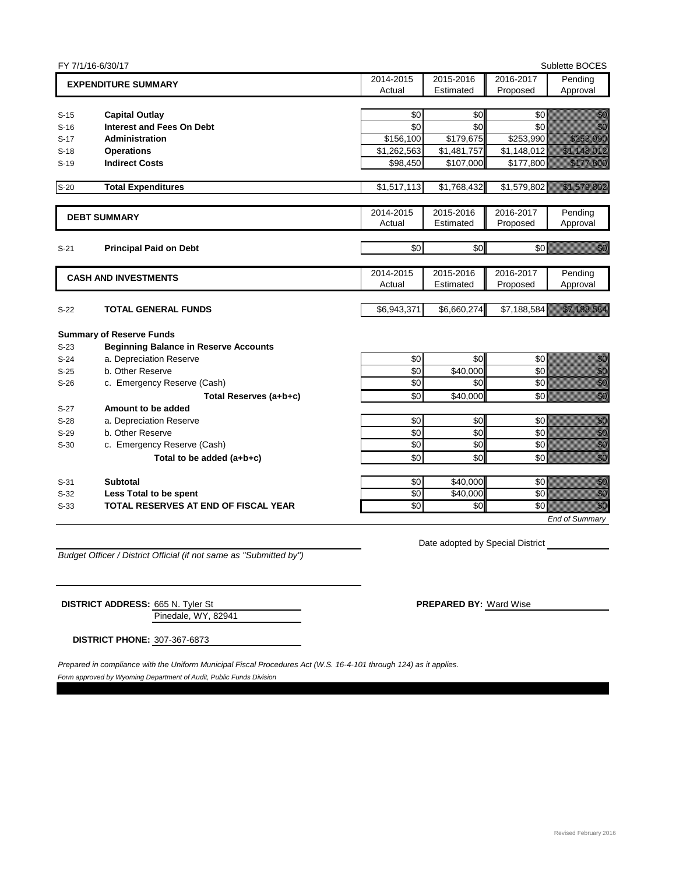|        | FY 7/1/16-6/30/17                            |             |             |             | Sublette BOCES                                                                                                                                                                                                                      |
|--------|----------------------------------------------|-------------|-------------|-------------|-------------------------------------------------------------------------------------------------------------------------------------------------------------------------------------------------------------------------------------|
|        | <b>EXPENDITURE SUMMARY</b>                   | 2014-2015   | 2015-2016   | 2016-2017   | Pending                                                                                                                                                                                                                             |
|        |                                              | Actual      | Estimated   | Proposed    | Approval                                                                                                                                                                                                                            |
|        |                                              |             |             |             |                                                                                                                                                                                                                                     |
| $S-15$ | <b>Capital Outlay</b>                        | \$0         | \$0         | \$0         | en de la familie de la familie de la familie de la familie de la familie de la familie de la familie de la fa<br>Constitution de la familie de la familie de la familie de la familie de la familie de la familie de la familie     |
| $S-16$ | <b>Interest and Fees On Debt</b>             | \$0         | \$0         | \$0         | en de la factura<br>Altres de la factura de la factura de la factura de la factura de la factura de la factura de<br>Altres de la factura de la factura de la factura de la factura de la factura de la factura de la factura de la |
| $S-17$ | <b>Administration</b>                        | \$156,100   | \$179,675   | \$253,990   |                                                                                                                                                                                                                                     |
| $S-18$ | <b>Operations</b>                            | \$1,262,563 | \$1,481,757 | \$1,148,012 | <u> Kalèndher Kalèndher Kalèndher Kalèndher Kalèndher Kalèndher Kalèndher Kalèndher Kalèndher Kalèndher Kalèndh</u>                                                                                                                 |
| $S-19$ | <b>Indirect Costs</b>                        | \$98,450    | \$107,000   | \$177,800   | a katika katika katika katika alikuwa nchi ya kusingani ya katika alikuwa nchi ya katika alikuwa nchi ya katik<br>Marejeo                                                                                                           |
| $S-20$ | <b>Total Expenditures</b>                    | \$1,517,113 | \$1,768,432 | \$1,579,802 | <u> Kabupatèn Bandaran Indonesia Bandaran Indonesia Bandaran Indonesia dari Pada Bandara Bandara Bandara Bandara</u>                                                                                                                |
|        | <b>DEBT SUMMARY</b>                          | 2014-2015   | 2015-2016   | 2016-2017   | Pending                                                                                                                                                                                                                             |
|        |                                              | Actual      | Estimated   | Proposed    | Approval                                                                                                                                                                                                                            |
| $S-21$ | <b>Principal Paid on Debt</b>                | \$0         | \$0         | \$0         | en de la familie de la familie de la familie de la familie de la familie de la familie de la familie de la fa<br>Constituit de la familie de la familie de la familie de la familie de la familie de la familie de la familie d     |
|        |                                              |             |             |             |                                                                                                                                                                                                                                     |
|        | <b>CASH AND INVESTMENTS</b>                  | 2014-2015   | 2015-2016   | 2016-2017   | Pending                                                                                                                                                                                                                             |
|        |                                              | Actual      | Estimated   | Proposed    | Approval                                                                                                                                                                                                                            |
| $S-22$ | <b>TOTAL GENERAL FUNDS</b>                   | \$6,943,371 | \$6,660,274 | \$7,188,584 | <u>esti marrialari eta eraina eraina eraina eraina eraina eraina eraina eraina eraina eraina eraina eraina erain</u>                                                                                                                |
|        | <b>Summary of Reserve Funds</b>              |             |             |             |                                                                                                                                                                                                                                     |
| $S-23$ | <b>Beginning Balance in Reserve Accounts</b> |             |             |             |                                                                                                                                                                                                                                     |
| $S-24$ | a. Depreciation Reserve                      | \$0         | \$0         | \$0         | entiar<br>Mahali                                                                                                                                                                                                                    |
| $S-25$ | b. Other Reserve                             | $\sqrt{6}$  | \$40,000    | \$0         | en de la familie de la familie de la familie de la familie de la familie de la familie de la familie de la fam<br>Constituit de la familie de la familie de la familie de la familie de la familie de la familie de la familie d    |
| $S-26$ | c. Emergency Reserve (Cash)                  | \$0         | \$0         | \$0         | en de la filosofia<br>Maria                                                                                                                                                                                                         |
|        | Total Reserves (a+b+c)                       | \$0         | \$40,000    | \$0         | umm<br>Villa<br>Martin                                                                                                                                                                                                              |
| $S-27$ | Amount to be added                           |             |             |             |                                                                                                                                                                                                                                     |
| $S-28$ | a. Depreciation Reserve                      | \$0         | \$0         | \$0         | en en de familien.<br>Februarien                                                                                                                                                                                                    |
| $S-29$ | b. Other Reserve                             | $\sqrt{6}$  | \$0         | \$0         | en de la facta de la facta de la facta de la facta de la facta de la facta de la facta de la facta de la facta<br>Establecidad                                                                                                      |
| $S-30$ | c. Emergency Reserve (Cash)                  | \$0         | \$0         | \$0         | ellingua<br>Madalah<br>Madalah                                                                                                                                                                                                      |
|        | Total to be added (a+b+c)                    | \$0         | \$0         | \$0         |                                                                                                                                                                                                                                     |
| $S-31$ | <b>Subtotal</b>                              | \$0         | \$40,000    | \$0         | en de la familie de la familie de la familie de la familie de la familie de la familie de la familie de la fa<br>Constituit de la familie de la familie de la familie de la familie de la familie de la familie de la familie d     |
| $S-32$ | Less Total to be spent                       | $\sqrt{6}$  | \$40,000    | \$0         | ennen<br>Heilich                                                                                                                                                                                                                    |
| $S-33$ | TOTAL RESERVES AT END OF FISCAL YEAR         | \$0         | \$0         | \$0         | en en de la familie de la familie de la familie de la familie de la familie de la familie de la familie de la<br>Constitution de la familie de la familie de la familie de la familie de la familie de la familie de la familie     |
|        |                                              |             |             |             | <b>End of Summary</b>                                                                                                                                                                                                               |

*Budget Officer / District Official (if not same as "Submitted by")*

Date adopted by Special District

Pinedale, WY, 82941 **DISTRICT ADDRESS:** 665 N. Tyler St **PREPARED BY:** Ward Wise

**DISTRICT PHONE:** 307-367-6873

*Form approved by Wyoming Department of Audit, Public Funds Division Prepared in compliance with the Uniform Municipal Fiscal Procedures Act (W.S. 16-4-101 through 124) as it applies.*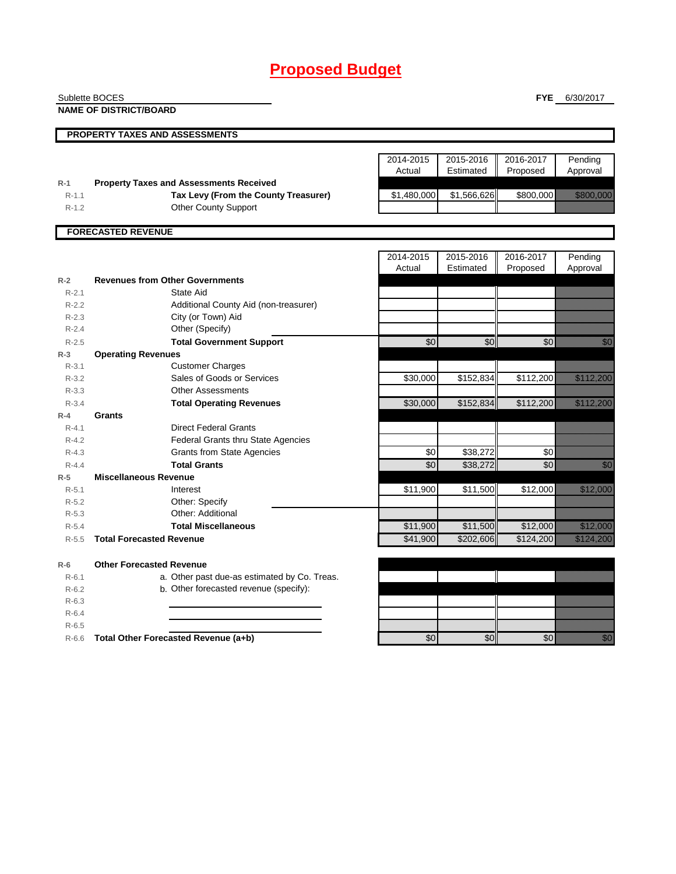|                    | Sublette BOCES                                 |                     |                        | <b>FYE</b>            | 6/30/2017                                                                                                                                                                                                                        |
|--------------------|------------------------------------------------|---------------------|------------------------|-----------------------|----------------------------------------------------------------------------------------------------------------------------------------------------------------------------------------------------------------------------------|
|                    | <b>NAME OF DISTRICT/BOARD</b>                  |                     |                        |                       |                                                                                                                                                                                                                                  |
|                    |                                                |                     |                        |                       |                                                                                                                                                                                                                                  |
|                    | <b>PROPERTY TAXES AND ASSESSMENTS</b>          |                     |                        |                       |                                                                                                                                                                                                                                  |
|                    |                                                |                     |                        |                       |                                                                                                                                                                                                                                  |
|                    |                                                | 2014-2015<br>Actual | 2015-2016<br>Estimated | 2016-2017<br>Proposed | Pending<br>Approval                                                                                                                                                                                                              |
| $R-1$              | <b>Property Taxes and Assessments Received</b> |                     |                        |                       |                                                                                                                                                                                                                                  |
| $R-1.1$            | Tax Levy (From the County Treasurer)           | \$1,480,000         | \$1,566,626            | \$800,000             | <u> Kabupatèn I</u>                                                                                                                                                                                                              |
| $R-1.2$            | <b>Other County Support</b>                    |                     |                        |                       |                                                                                                                                                                                                                                  |
|                    |                                                |                     |                        |                       |                                                                                                                                                                                                                                  |
|                    | <b>FORECASTED REVENUE</b>                      |                     |                        |                       |                                                                                                                                                                                                                                  |
|                    |                                                |                     |                        |                       |                                                                                                                                                                                                                                  |
|                    |                                                | 2014-2015           | 2015-2016              | 2016-2017             | Pending                                                                                                                                                                                                                          |
|                    |                                                | Actual              | Estimated              | Proposed              | Approval                                                                                                                                                                                                                         |
| $R-2$              | <b>Revenues from Other Governments</b>         |                     |                        |                       |                                                                                                                                                                                                                                  |
| $R-2.1$            | State Aid                                      |                     |                        |                       |                                                                                                                                                                                                                                  |
| $R-2.2$            | Additional County Aid (non-treasurer)          |                     |                        |                       |                                                                                                                                                                                                                                  |
| $R-2.3$            | City (or Town) Aid                             |                     |                        |                       |                                                                                                                                                                                                                                  |
| $R-2.4$            | Other (Specify)                                |                     |                        |                       |                                                                                                                                                                                                                                  |
| $R - 2.5$          | <b>Total Government Support</b>                | $\overline{60}$     | \$0                    | \$0                   | en de la familie de la familie de la familie de la familie de la familie de la familie de la familie de la fam<br>De la familie de la familie de la familie de la familie de la familie de la familie de la familie de la famili |
| $R-3$              | <b>Operating Revenues</b>                      |                     |                        |                       |                                                                                                                                                                                                                                  |
| $R-3.1$            | <b>Customer Charges</b>                        |                     |                        |                       |                                                                                                                                                                                                                                  |
| $R - 3.2$          | Sales of Goods or Services                     | \$30,000            | \$152,834              | \$112,200             | <u>Tallin k</u>                                                                                                                                                                                                                  |
| $R - 3.3$          | <b>Other Assessments</b>                       |                     |                        |                       |                                                                                                                                                                                                                                  |
| $R - 3.4$          | <b>Total Operating Revenues</b>                | \$30,000            | \$152,834              | \$112,200             | <u>Tillin allan Sa</u>                                                                                                                                                                                                           |
| $R - 4$            | Grants                                         |                     |                        |                       |                                                                                                                                                                                                                                  |
| $R - 4.1$          | <b>Direct Federal Grants</b>                   |                     |                        |                       |                                                                                                                                                                                                                                  |
| $R - 4.2$          | <b>Federal Grants thru State Agencies</b>      |                     |                        |                       |                                                                                                                                                                                                                                  |
| $R-4.3$            | <b>Grants from State Agencies</b>              | \$0                 | \$38,272               | \$0                   |                                                                                                                                                                                                                                  |
| $R - 4.4$          | <b>Total Grants</b>                            | \$0                 | \$38,272               | \$0                   | en de la familie de la familie de la familie de la familie de la familie de la familie de la familie de la fam<br>Constituit de la familie de la familie de la familie de la familie de la familie de la familie de la familie d |
| $R-5$<br>$R - 5.1$ | <b>Miscellaneous Revenue</b><br>Interest       | \$11,900            | \$11,500               | \$12,000              | <u>e di seria di seria di seria di seria di seria di seria di seria di seria di seria di seria di seria di seria</u>                                                                                                             |
| $R-5.2$            | Other: Specify                                 |                     |                        |                       |                                                                                                                                                                                                                                  |
| $R-5.3$            | Other: Additional                              |                     |                        |                       |                                                                                                                                                                                                                                  |
| $R - 5.4$          | <b>Total Miscellaneous</b>                     | \$11,900            | \$11,500               | \$12,000              | <u> Hillingen i Sta</u>                                                                                                                                                                                                          |
| $R - 5.5$          | <b>Total Forecasted Revenue</b>                | \$41,900            | \$202,606              | \$124,200             | a katika katika katika katika katika katika katika katika katika katika katika katika katika katika katika kat<br>Katika katika katika katika katika katika katika katika katika katika katika katika katika katika katika katik |
|                    |                                                |                     |                        |                       |                                                                                                                                                                                                                                  |
| $R-6$              | <b>Other Forecasted Revenue</b>                |                     |                        |                       |                                                                                                                                                                                                                                  |
| $R - 6.1$          | a. Other past due-as estimated by Co. Treas.   |                     |                        |                       |                                                                                                                                                                                                                                  |
| $R-6.2$            | b. Other forecasted revenue (specify):         |                     |                        |                       |                                                                                                                                                                                                                                  |
| $R-6.3$            |                                                |                     |                        |                       |                                                                                                                                                                                                                                  |
| $R-6.4$            |                                                |                     |                        |                       |                                                                                                                                                                                                                                  |
| $R-6.5$            |                                                |                     |                        |                       |                                                                                                                                                                                                                                  |
| $R-6.6$            | Total Other Forecasted Revenue (a+b)           | \$0                 | \$0                    | \$0                   | en de la familie de la familie de la familie de la familie de la familie de la familie de la familie de la fa<br>Constitution de la familie de la familie de la familie de la familie de la familie de la familie de la familie  |
|                    |                                                |                     |                        |                       |                                                                                                                                                                                                                                  |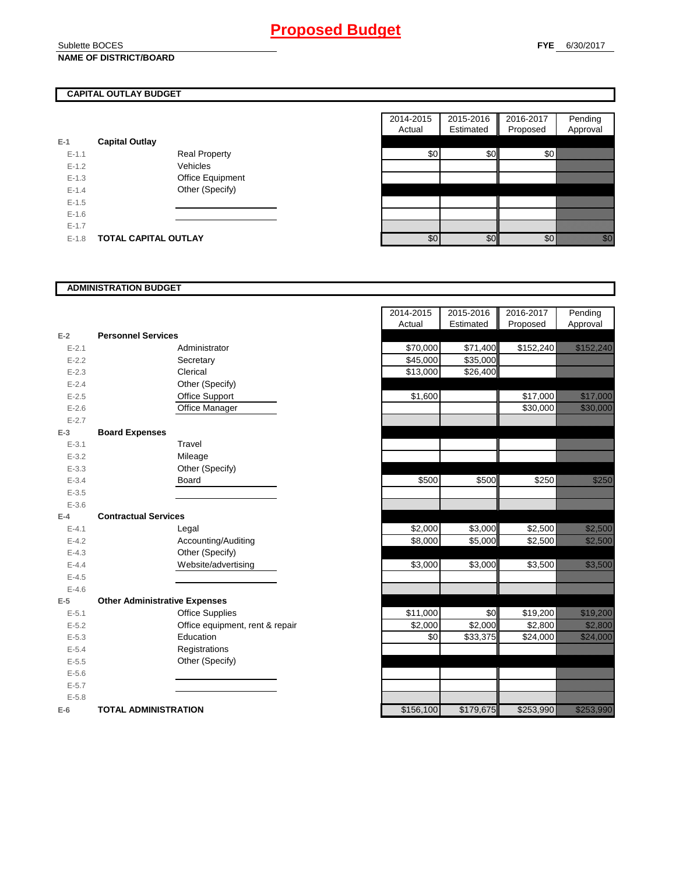### Sublette BOCES **NAME OF DISTRICT/BOARD**

### **CAPITAL OUTLAY BUDGET**

|           |                             |     |                  | . |     |
|-----------|-----------------------------|-----|------------------|---|-----|
| $E-1$     | <b>Capital Outlay</b>       |     |                  |   |     |
| $E-1.1$   | <b>Real Property</b>        | \$0 | \$0 <sub>1</sub> |   | \$0 |
| $E - 1.2$ | Vehicles                    |     |                  |   |     |
| $E-1.3$   | Office Equipment            |     |                  |   |     |
| $E - 1.4$ | Other (Specify)             |     |                  |   |     |
| $E-1.5$   |                             |     |                  |   |     |
| $E-1.6$   |                             |     |                  |   |     |
| $E - 1.7$ |                             |     |                  |   |     |
| $E - 1.8$ | <b>TOTAL CAPITAL OUTLAY</b> | \$0 | \$0              |   | \$0 |

| 2014-2015 | 2015-2016 | 2016-2017 | Pending  |
|-----------|-----------|-----------|----------|
| Actual    | Estimated | Proposed  | Approval |
|           |           |           |          |
|           |           | ፍ(        |          |
|           |           |           |          |
|           |           |           |          |
|           |           |           |          |
|           |           |           |          |
|           |           |           |          |
|           |           |           |          |
| Φ.        |           |           |          |

### **ADMINISTRATION BUDGET**

|           |                                      |                                 | Actual    | csunated  |
|-----------|--------------------------------------|---------------------------------|-----------|-----------|
| $E-2$     | <b>Personnel Services</b>            |                                 |           |           |
| $E - 2.1$ |                                      | Administrator                   | \$70,000  | \$71,400  |
| $E - 2.2$ |                                      | Secretary                       | \$45,000  | \$35,000  |
| $E - 2.3$ |                                      | Clerical                        | \$13,000  | \$26,400  |
| $E - 2.4$ |                                      | Other (Specify)                 |           |           |
| $E - 2.5$ |                                      | Office Support                  | \$1,600   |           |
| $E-2.6$   |                                      | Office Manager                  |           |           |
| $E - 2.7$ |                                      |                                 |           |           |
| $E-3$     | <b>Board Expenses</b>                |                                 |           |           |
| $E - 3.1$ |                                      | Travel                          |           |           |
| $E - 3.2$ |                                      | Mileage                         |           |           |
| $E - 3.3$ |                                      | Other (Specify)                 |           |           |
| $E - 3.4$ |                                      | Board                           | \$500     | \$500     |
| $E - 3.5$ |                                      |                                 |           |           |
| $E - 3.6$ |                                      |                                 |           |           |
| $E-4$     | <b>Contractual Services</b>          |                                 |           |           |
| $E-4.1$   |                                      | Legal                           | \$2,000   | \$3,000   |
| $E-4.2$   |                                      | Accounting/Auditing             | \$8,000   | \$5,000   |
| $E - 4.3$ |                                      | Other (Specify)                 |           |           |
| $E - 4.4$ |                                      | Website/advertising             | \$3,000   | \$3,000   |
| $E-4.5$   |                                      |                                 |           |           |
| $E-4.6$   |                                      |                                 |           |           |
| $E-5$     | <b>Other Administrative Expenses</b> |                                 |           |           |
| $E - 5.1$ |                                      | <b>Office Supplies</b>          | \$11,000  | \$0       |
| $E - 5.2$ |                                      | Office equipment, rent & repair | \$2,000   | \$2,000   |
| $E - 5.3$ |                                      | Education                       | \$0       | \$33,375  |
| $E - 5.4$ |                                      | Registrations                   |           |           |
| $E - 5.5$ |                                      | Other (Specify)                 |           |           |
| $E-5.6$   |                                      |                                 |           |           |
| $E - 5.7$ |                                      |                                 |           |           |
| $E - 5.8$ |                                      |                                 |           |           |
| $E-6$     | <b>TOTAL ADMINISTRATION</b>          |                                 | \$156,100 | \$179,675 |

|                          |                                      | 2014-2015 | 2015-2016 | 2016-2017 | Pending                                                                                                             |
|--------------------------|--------------------------------------|-----------|-----------|-----------|---------------------------------------------------------------------------------------------------------------------|
|                          |                                      | Actual    | Estimated | Proposed  | Approval                                                                                                            |
| $\overline{a}$           | <b>Personnel Services</b>            |           |           |           |                                                                                                                     |
| $E - 2.1$                | Administrator                        | \$70,000  | \$71,400  | \$152,240 | <u>tik kalendari komunistiset on komunistiset on komunistiset on komunistiset on komunistiset on komunistiset o</u> |
| $E - 2.2$                | Secretary                            | \$45,000  | \$35,000  |           |                                                                                                                     |
| $E - 2.3$                | Clerical                             | \$13,000  | \$26,400  |           |                                                                                                                     |
| $E - 2.4$                | Other (Specify)                      |           |           |           |                                                                                                                     |
| $E - 2.5$                | Office Support                       | \$1,600   |           | \$17,000  | <u> Hillinger i </u>                                                                                                |
| $E - 2.6$                | Office Manager                       |           |           | \$30,000  | <u> Harristo e d</u>                                                                                                |
| $E - 2.7$                |                                      |           |           |           |                                                                                                                     |
| 3                        | <b>Board Expenses</b>                |           |           |           |                                                                                                                     |
| $E - 3.1$                | Travel                               |           |           |           |                                                                                                                     |
| $E - 3.2$                | Mileage                              |           |           |           |                                                                                                                     |
| $E - 3.3$                | Other (Specify)                      |           |           |           |                                                                                                                     |
| $E - 3.4$                | <b>Board</b>                         | \$500     | \$500     | \$250     | <u>ti ka</u>                                                                                                        |
| $E - 3.5$                |                                      |           |           |           |                                                                                                                     |
| $E - 3.6$                |                                      |           |           |           |                                                                                                                     |
| ļ.                       | <b>Contractual Services</b>          |           |           |           |                                                                                                                     |
| $E - 4.1$                | Legal                                | \$2,000   | \$3,000   | \$2,500   | <u> Kalendari Ka</u>                                                                                                |
| $E - 4.2$                | Accounting/Auditing                  | \$8,000   | \$5,000   | \$2,500   | <u> Hillian Sta</u>                                                                                                 |
| $E - 4.3$                | Other (Specify)                      |           |           |           |                                                                                                                     |
| $E - 4.4$                | Website/advertising                  | \$3,000   | \$3,000   | \$3,500   | <u> Harry Collaborato (</u>                                                                                         |
| $E - 4.5$                |                                      |           |           |           |                                                                                                                     |
| $E - 4.6$                |                                      |           |           |           |                                                                                                                     |
| $\overline{\phantom{a}}$ | <b>Other Administrative Expenses</b> |           |           |           |                                                                                                                     |
| $E - 5.1$                | <b>Office Supplies</b>               | \$11,000  | \$0       | \$19,200  | <u> Mariji (Mariji) (Mariji) (Mariji) (Mariji) (Mariji) (Mariji) (Mariji) (Mariji) (Mariji) (Mariji) (Mariji) (</u> |
| $E - 5.2$                | Office equipment, rent & repair      | \$2,000   | \$2,000   | \$2,800   | <u> Karl Sara</u>                                                                                                   |
| $E - 5.3$                | Education                            | \$0       | \$33,375  | \$24,000  | <u> Karlin (</u>                                                                                                    |
| $E - 5.4$                | Registrations                        |           |           |           |                                                                                                                     |
| $E - 5.5$                | Other (Specify)                      |           |           |           |                                                                                                                     |
| $E - 5.6$                |                                      |           |           |           |                                                                                                                     |
| $E - 5.7$                |                                      |           |           |           |                                                                                                                     |
| $E - 5.8$                |                                      |           |           |           |                                                                                                                     |
| ì                        | <b>TOTAL ADMINISTRATION</b>          | \$156,100 | \$179,675 | \$253,990 | <u>ta kalendari k</u>                                                                                               |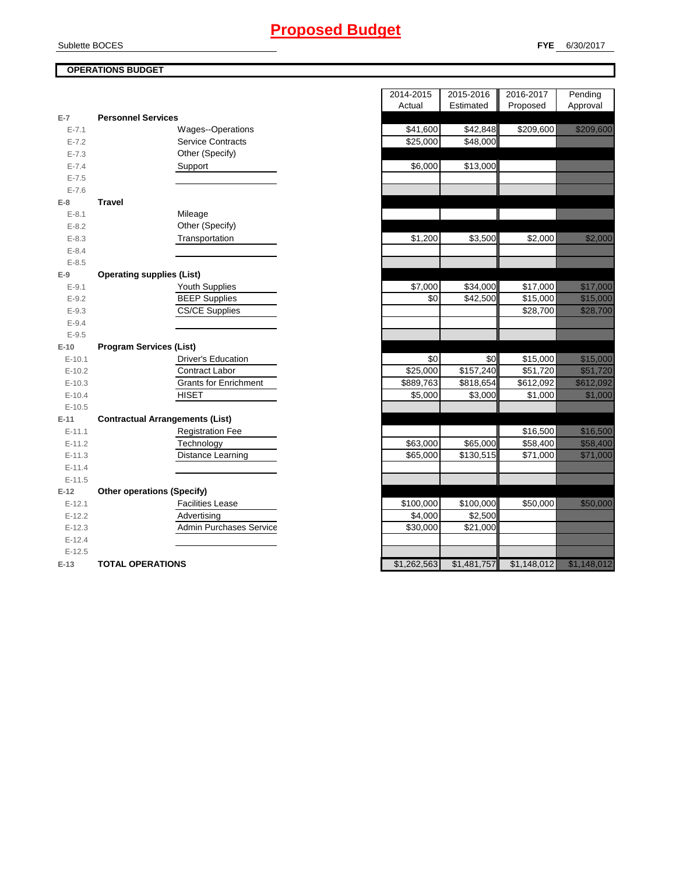### Sublette BOCES

### **OPERATIONS BUDGET**

|           |                                        |             | $\mathbf{L}$          | 1.290000   |
|-----------|----------------------------------------|-------------|-----------------------|------------|
| $E-7$     | <b>Personnel Services</b>              |             |                       |            |
| $E - 7.1$ | <b>Wages--Operations</b>               | \$41,600    | \$42,848              | \$209,60   |
| $E - 7.2$ | <b>Service Contracts</b>               | \$25,000    | \$48,000              |            |
| $E - 7.3$ | Other (Specify)                        |             |                       |            |
| $E - 7.4$ | Support                                | \$6,000     | \$13,000              |            |
| $E - 7.5$ |                                        |             |                       |            |
| $E - 7.6$ |                                        |             |                       |            |
| $E-8$     | <b>Travel</b>                          |             |                       |            |
| $E - 8.1$ | Mileage                                |             |                       |            |
| $E - 8.2$ | Other (Specify)                        |             |                       |            |
| $E - 8.3$ | Transportation                         | \$1,200     | \$3,500               | \$2,00     |
| $E - 8.4$ |                                        |             |                       |            |
| $E - 8.5$ |                                        |             |                       |            |
| $E-9$     | <b>Operating supplies (List)</b>       |             |                       |            |
| $E-9.1$   | Youth Supplies                         | \$7,000     | \$34,000              | \$17,00    |
| $E-9.2$   | <b>BEEP Supplies</b>                   | \$0         | \$42,500              | \$15,00    |
| $E-9.3$   | <b>CS/CE Supplies</b>                  |             |                       | \$28,70    |
| $E-9.4$   |                                        |             |                       |            |
| $E-9.5$   |                                        |             |                       |            |
| $E-10$    | <b>Program Services (List)</b>         |             |                       |            |
| $E-10.1$  | <b>Driver's Education</b>              | \$0         | \$0                   | \$15,00    |
| $E-10.2$  | <b>Contract Labor</b>                  | \$25,000    | $\overline{$}157,240$ | \$51,72    |
| $E-10.3$  | <b>Grants for Enrichment</b>           | \$889,763   | \$818,654             | \$612,09   |
| $E-10.4$  | <b>HISET</b>                           | \$5,000     | \$3,000               | \$1,00     |
| $E-10.5$  |                                        |             |                       |            |
| $E-11$    | <b>Contractual Arrangements (List)</b> |             |                       |            |
| $E-11.1$  | <b>Registration Fee</b>                |             |                       | \$16,50    |
| $E-11.2$  | Technology                             | \$63,000    | \$65,000              | \$58,40    |
| $E-11.3$  | Distance Learning                      | \$65,000    | \$130,515             | \$71,00    |
| $E-11.4$  |                                        |             |                       |            |
| $E-11.5$  |                                        |             |                       |            |
| $E-12$    | <b>Other operations (Specify)</b>      |             |                       |            |
| $E-12.1$  | <b>Facilities Lease</b>                | \$100,000   | \$100,000             | \$50,00    |
| $E-12.2$  | Advertising                            | \$4,000     | \$2,500               |            |
| $E-12.3$  | <b>Admin Purchases Service</b>         | \$30,000    | \$21,000              |            |
| $E-12.4$  |                                        |             |                       |            |
| $E-12.5$  |                                        |             |                       |            |
| $E-13$    | <b>TOTAL OPERATIONS</b>                | \$1,262,563 | \$1,481,757           | \$1,148,01 |
|           |                                        |             |                       |            |

|                |                                        | 2014-2015 | 2015-2016  | 2016-2017 | Pending                                                                                                              |
|----------------|----------------------------------------|-----------|------------|-----------|----------------------------------------------------------------------------------------------------------------------|
|                |                                        | Actual    | Estimated  | Proposed  | Approval                                                                                                             |
| $\overline{7}$ | <b>Personnel Services</b>              |           |            |           |                                                                                                                      |
| $E - 7.1$      | <b>Wages--Operations</b>               | \$41,600  | \$42,848   | \$209,600 | <u> Karatian Sara</u>                                                                                                |
| $E - 7.2$      | <b>Service Contracts</b>               | \$25,000  | \$48,000   |           |                                                                                                                      |
| $E - 7.3$      | Other (Specify)                        |           |            |           |                                                                                                                      |
| $E - 7.4$      | Support                                | \$6,000   | \$13,000   |           |                                                                                                                      |
| $E - 7.5$      |                                        |           |            |           |                                                                                                                      |
| $E - 7.6$<br>8 | <b>Travel</b>                          |           |            |           |                                                                                                                      |
| $E-8.1$        | Mileage                                |           |            |           |                                                                                                                      |
| $E-8.2$        | Other (Specify)                        |           |            |           |                                                                                                                      |
| $E - 8.3$      | Transportation                         | \$1,200   | \$3,500    | \$2,000   | <u> Hallingari</u>                                                                                                   |
| $E - 8.4$      |                                        |           |            |           |                                                                                                                      |
| $E - 8.5$      |                                        |           |            |           |                                                                                                                      |
| 9              | <b>Operating supplies (List)</b>       |           |            |           |                                                                                                                      |
| $E-9.1$        | Youth Supplies                         | \$7,000   | \$34,000   | \$17,000  | <u>e di seria di seria di seria di seria di seria di seria di seria di seria di seria di seria di seria di seria</u> |
| $E-9.2$        | <b>BEEP Supplies</b>                   | \$0       | \$42,500   | \$15,000  | <u> Karl Sara</u>                                                                                                    |
| $E-9.3$        | <b>CS/CE Supplies</b>                  |           |            | \$28,700  | <u>tilläällistöölle</u>                                                                                              |
| $E-9.4$        |                                        |           |            |           |                                                                                                                      |
| $E-9.5$        |                                        |           |            |           |                                                                                                                      |
| 10             | <b>Program Services (List)</b>         |           |            |           |                                                                                                                      |
| $E-10.1$       | <b>Driver's Education</b>              | \$0       | \$0        | \$15,000  | <u> Hillinger (</u>                                                                                                  |
| $E-10.2$       | <b>Contract Labor</b>                  | \$25,000  | \$157,240  | \$51,720  | <u> Karl III (</u>                                                                                                   |
| $E-10.3$       | <b>Grants for Enrichment</b>           | \$889,763 | \$818,654  | \$612,092 | <u>tika kuning ka</u>                                                                                                |
| $E-10.4$       | <b>HISET</b>                           | \$5,000   | \$3,000    | \$1,000   | <u>tin alaman da</u>                                                                                                 |
| $E-10.5$       |                                        |           |            |           |                                                                                                                      |
| 11             | <b>Contractual Arrangements (List)</b> |           |            |           |                                                                                                                      |
| $E-11.1$       | <b>Registration Fee</b>                |           |            | \$16,500  | <u>tik kultura d</u>                                                                                                 |
| $E-11.2$       | Technology                             | \$63,000  | \$65,000   | \$58,400  | <u> Hardina Sal</u>                                                                                                  |
| $E-11.3$       | Distance Learning                      | \$65,000  | \$130,515  | \$71,000  | <u>Tilliklooned</u>                                                                                                  |
| $E-11.4$       |                                        |           |            |           |                                                                                                                      |
| $E-11.5$       |                                        |           |            |           |                                                                                                                      |
| 12             | <b>Other operations (Specify)</b>      |           |            |           |                                                                                                                      |
| $E-12.1$       | <b>Facilities Lease</b>                | \$100,000 | \$100,000  | \$50,000  | <u> Karl Sara</u>                                                                                                    |
| $E-12.2$       | Advertising                            | \$4,000   | \$2,500    |           |                                                                                                                      |
| $E-12.3$       | <b>Admin Purchases Service</b>         | \$30,000  | \$21,000   |           |                                                                                                                      |
| $E-12.4$       |                                        |           |            |           |                                                                                                                      |
| $E-12.5$       |                                        | \$1.26258 | \$1.481757 |           | \$118012                                                                                                             |
| 12             | TOTAL OPERATIONS                       |           |            |           |                                                                                                                      |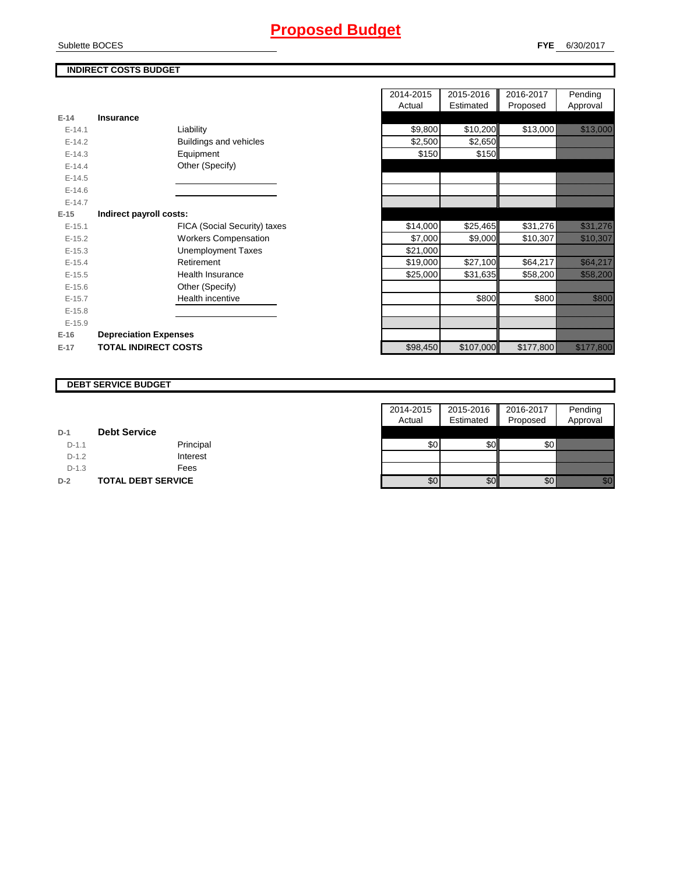### **INDIRECT COSTS BUDGET**

| $E-14$   | <b>Insurance</b>             |          |           |           |                                                                                                                       |
|----------|------------------------------|----------|-----------|-----------|-----------------------------------------------------------------------------------------------------------------------|
| $E-14.1$ | Liability                    | \$9,800  | \$10,200  | \$13,000  | <u> Karlin Sara</u>                                                                                                   |
| $E-14.2$ | Buildings and vehicles       | \$2,500  | \$2,650   |           |                                                                                                                       |
| $E-14.3$ | Equipment                    | \$150    | \$150     |           |                                                                                                                       |
| $E-14.4$ | Other (Specify)              |          |           |           |                                                                                                                       |
| $E-14.5$ |                              |          |           |           |                                                                                                                       |
| $E-14.6$ |                              |          |           |           |                                                                                                                       |
| $E-14.7$ |                              |          |           |           |                                                                                                                       |
| $E-15$   | Indirect payroll costs:      |          |           |           |                                                                                                                       |
| $E-15.1$ | FICA (Social Security) taxes | \$14,000 | \$25,465  | \$31,276  | <u> Karlin alikuwa kutoka mwaka wa 1999 ya kutoka mwaka wa 1999 ya kutoka mwaka wa 1999 ya kutoka mwaka wa 1999</u>   |
| $E-15.2$ | <b>Workers Compensation</b>  | \$7,000  | \$9,000   | \$10,307  | <u> Kalendari I</u>                                                                                                   |
| $E-15.3$ | <b>Unemployment Taxes</b>    | \$21,000 |           |           |                                                                                                                       |
| $E-15.4$ | Retirement                   | \$19,000 | \$27,100  | \$64,217  | <u>i ka</u>                                                                                                           |
| $E-15.5$ | <b>Health Insurance</b>      | \$25,000 | \$31,635  | \$58,200  | <u>tion and the communication of the communication of the communication of the communication of the communication</u> |
| $E-15.6$ | Other (Specify)              |          |           |           |                                                                                                                       |
| $E-15.7$ | Health incentive             |          | \$800     | \$800     | <u> Karatanan Serikatan </u>                                                                                          |
| $E-15.8$ |                              |          |           |           |                                                                                                                       |
| $E-15.9$ |                              |          |           |           |                                                                                                                       |
| $E-16$   | <b>Depreciation Expenses</b> |          |           |           |                                                                                                                       |
| $E-17$   | <b>TOTAL INDIRECT COSTS</b>  | \$98,450 | \$107,000 | \$177,800 | <u> Elizabeth Carlottan (</u>                                                                                         |

|          |                              |                              | 2014-2015 | 2015-2016 | 2016-2017 | Pending                                                                                                               |
|----------|------------------------------|------------------------------|-----------|-----------|-----------|-----------------------------------------------------------------------------------------------------------------------|
|          |                              |                              | Actual    | Estimated | Proposed  | Approval                                                                                                              |
| 14       | <b>Insurance</b>             |                              |           |           |           |                                                                                                                       |
| $E-14.1$ |                              | Liability                    | \$9,800   | \$10,200  | \$13,000  | <u>tionalistici provincialistici provincialistici provincialistici provincialistici provincialistici provincialis</u> |
| $E-14.2$ |                              | Buildings and vehicles       | \$2,500   | \$2,650   |           |                                                                                                                       |
| $E-14.3$ |                              | Equipment                    | \$150     | \$150     |           |                                                                                                                       |
| $E-14.4$ |                              | Other (Specify)              |           |           |           |                                                                                                                       |
| $E-14.5$ |                              |                              |           |           |           |                                                                                                                       |
| $E-14.6$ |                              |                              |           |           |           |                                                                                                                       |
| $E-14.7$ |                              |                              |           |           |           |                                                                                                                       |
| 15       | Indirect payroll costs:      |                              |           |           |           |                                                                                                                       |
| $E-15.1$ |                              | FICA (Social Security) taxes | \$14,000  | \$25,465  | \$31,276  | <u> Karl III (</u>                                                                                                    |
| $E-15.2$ |                              | <b>Workers Compensation</b>  | \$7,000   | \$9,000   | \$10,307  | <u> Kalèndher Ka</u>                                                                                                  |
| $E-15.3$ |                              | <b>Unemployment Taxes</b>    | \$21,000  |           |           |                                                                                                                       |
| $E-15.4$ |                              | Retirement                   | \$19,000  | \$27,100  | \$64,217  | <u>i serialistika p</u>                                                                                               |
| $E-15.5$ |                              | <b>Health Insurance</b>      | \$25,000  | \$31,635  | \$58,200  | <u>ika kutha k</u>                                                                                                    |
| $E-15.6$ |                              | Other (Specify)              |           |           |           |                                                                                                                       |
| $E-15.7$ |                              | Health incentive             |           | \$800     | \$800     | <u>ti ka</u>                                                                                                          |
| $E-15.8$ |                              |                              |           |           |           |                                                                                                                       |
| $E-15.9$ |                              |                              |           |           |           |                                                                                                                       |
| 16       | <b>Depreciation Expenses</b> |                              |           |           |           |                                                                                                                       |
| 17       | <b>TOTAL INDIRECT COSTS</b>  |                              | \$98450   | \$107,000 | \$177800  | <u>istoriali ilmensissä</u>                                                                                           |

### **DEBT SERVICE BUDGET**

|         |                           | 2014-2015 | 2015-2016 | 2016-2017 | Pending                                                                                                                                                                                                                          |
|---------|---------------------------|-----------|-----------|-----------|----------------------------------------------------------------------------------------------------------------------------------------------------------------------------------------------------------------------------------|
|         |                           | Actual    | Estimated | Proposed  | Approval                                                                                                                                                                                                                         |
| $D-1$   | <b>Debt Service</b>       |           |           |           |                                                                                                                                                                                                                                  |
| $D-1.1$ | Principal                 | \$0       | \$0I      | \$0       |                                                                                                                                                                                                                                  |
| $D-1.2$ | Interest                  |           |           |           |                                                                                                                                                                                                                                  |
| $D-1.3$ | Fees                      |           |           |           |                                                                                                                                                                                                                                  |
| $D-2$   | <b>TOTAL DEBT SERVICE</b> | \$0       | \$0       | \$0       | en de la familie de la familie de la familie de la familie de la familie de la familie de la familie de la fam<br>Constitution de la familie de la familie de la familie de la familie de la familie de la familie de la familie |